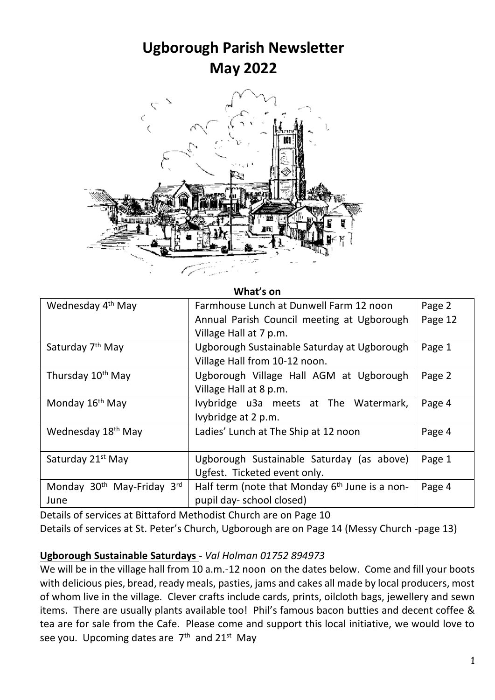## **Ugborough Parish Newsletter May 2022**



**What's on**

| Wednesday 4 <sup>th</sup> May                  | Farmhouse Lunch at Dunwell Farm 12 noon<br>Annual Parish Council meeting at Ugborough<br>Village Hall at 7 p.m. | Page 2<br>Page 12 |
|------------------------------------------------|-----------------------------------------------------------------------------------------------------------------|-------------------|
| Saturday 7 <sup>th</sup> May                   | Ugborough Sustainable Saturday at Ugborough<br>Village Hall from 10-12 noon.                                    | Page 1            |
| Thursday 10 <sup>th</sup> May                  | Ugborough Village Hall AGM at Ugborough<br>Village Hall at 8 p.m.                                               | Page 2            |
| Monday 16 <sup>th</sup> May                    | Ivybridge u3a meets at The Watermark,<br>Ivybridge at 2 p.m.                                                    | Page 4            |
| Wednesday 18 <sup>th</sup> May                 | Ladies' Lunch at The Ship at 12 noon                                                                            | Page 4            |
| Saturday 21 <sup>st</sup> May                  | Ugborough Sustainable Saturday (as above)<br>Ugfest. Ticketed event only.                                       | Page 1            |
| Monday 30 <sup>th</sup> May-Friday 3rd<br>June | Half term (note that Monday $6th$ June is a non-<br>pupil day- school closed)                                   | Page 4            |

Details of services at Bittaford Methodist Church are on Page 10 Details of services at St. Peter's Church, Ugborough are on Page 14 (Messy Church -page 13)

#### **Ugborough Sustainable Saturdays** - *Val Holman 01752 894973*

We will be in the village hall from 10 a.m.-12 noon on the dates below. Come and fill your boots with delicious pies, bread, ready meals, pasties, jams and cakes all made by local producers, most of whom live in the village. Clever crafts include cards, prints, oilcloth bags, jewellery and sewn items. There are usually plants available too! Phil's famous bacon butties and decent coffee & tea are for sale from the Cafe. Please come and support this local initiative, we would love to see you. Upcoming dates are 7<sup>th</sup> and 21<sup>st</sup> May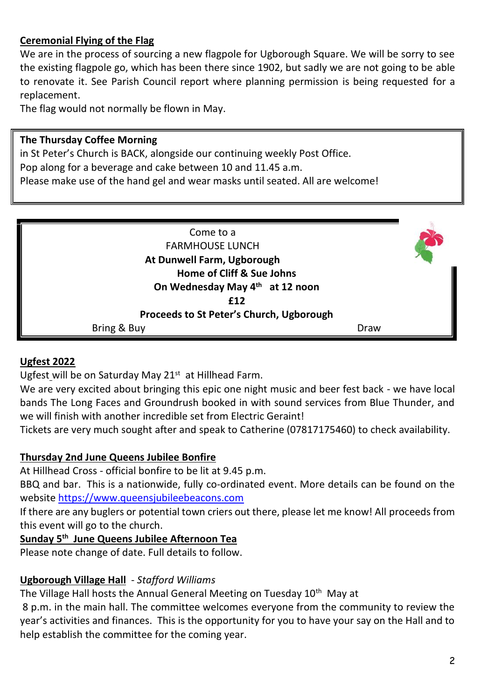## **Ceremonial Flying of the Flag**

We are in the process of sourcing a new flagpole for Ugborough Square. We will be sorry to see the existing flagpole go, which has been there since 1902, but sadly we are not going to be able to renovate it. See Parish Council report where planning permission is being requested for a replacement.

The flag would not normally be flown in May.

#### **The Thursday Coffee Morning**

in St Peter's Church is BACK, alongside our continuing weekly Post Office. Pop along for a beverage and cake between 10 and 11.45 a.m. Please make use of the hand gel and wear masks until seated. All are welcome!



#### **Ugfest 2022**

Ugfest will be on Saturday May 21<sup>st</sup> at Hillhead Farm.

We are very excited about bringing this epic one night music and beer fest back - we have local bands The Long Faces and Groundrush booked in with sound services from Blue Thunder, and we will finish with another incredible set from Electric Geraint!

Tickets are very much sought after and speak to Catherine (07817175460) to check availability.

#### **Thursday 2nd June Queens Jubilee Bonfire**

At Hillhead Cross - official bonfire to be lit at 9.45 p.m.

BBQ and bar. This is a nationwide, fully co-ordinated event. More details can be found on the website [https://www.queensjubileebeacons.com](https://www.queensjubileebeacons.com/)

If there are any buglers or potential town criers out there, please let me know! All proceeds from this event will go to the church.

## **Sunday 5 th June Queens Jubilee Afternoon Tea**

Please note change of date. Full details to follow.

## **Ugborough Village Hall** - *Stafford Williams*

The Village Hall hosts the Annual General Meeting on Tuesday 10<sup>th</sup> May at

8 p.m. in the main hall. The committee welcomes everyone from the community to review the year's activities and finances. This is the opportunity for you to have your say on the Hall and to help establish the committee for the coming year.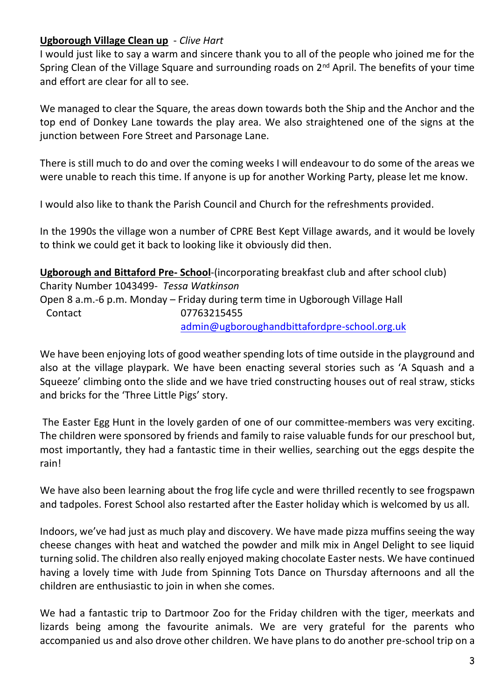#### **Ugborough Village Clean up** - *Clive Hart*

I would just like to say a warm and sincere thank you to all of the people who joined me for the Spring Clean of the Village Square and surrounding roads on  $2<sup>nd</sup>$  April. The benefits of your time and effort are clear for all to see.

We managed to clear the Square, the areas down towards both the Ship and the Anchor and the top end of Donkey Lane towards the play area. We also straightened one of the signs at the junction between Fore Street and Parsonage Lane.

There is still much to do and over the coming weeks I will endeavour to do some of the areas we were unable to reach this time. If anyone is up for another Working Party, please let me know.

I would also like to thank the Parish Council and Church for the refreshments provided.

In the 1990s the village won a number of CPRE Best Kept Village awards, and it would be lovely to think we could get it back to looking like it obviously did then.

**Ugborough and Bittaford Pre- School**-(incorporating breakfast club and after school club) Charity Number 1043499*- Tessa Watkinson* Open 8 a.m.-6 p.m. Monday – Friday during term time in Ugborough Village Hall Contact 07763215455 [admin@ugboroughandbittafordpre-school.org.uk](https://d.docs.live.net/d1d00904bc4b66e8/Documents/newsletter/Ugborough%20Parish%20Newsletters%20for%202019/admin@ugboroughandbittafordpre-school.org.uk)

We have been enjoying lots of good weather spending lots of time outside in the playground and also at the village playpark. We have been enacting several stories such as 'A Squash and a Squeeze' climbing onto the slide and we have tried constructing houses out of real straw, sticks and bricks for the 'Three Little Pigs' story.

The Easter Egg Hunt in the lovely garden of one of our committee-members was very exciting. The children were sponsored by friends and family to raise valuable funds for our preschool but, most importantly, they had a fantastic time in their wellies, searching out the eggs despite the rain!

We have also been learning about the frog life cycle and were thrilled recently to see frogspawn and tadpoles. Forest School also restarted after the Easter holiday which is welcomed by us all.

Indoors, we've had just as much play and discovery. We have made pizza muffins seeing the way cheese changes with heat and watched the powder and milk mix in Angel Delight to see liquid turning solid. The children also really enjoyed making chocolate Easter nests. We have continued having a lovely time with Jude from Spinning Tots Dance on Thursday afternoons and all the children are enthusiastic to join in when she comes.

We had a fantastic trip to Dartmoor Zoo for the Friday children with the tiger, meerkats and lizards being among the favourite animals. We are very grateful for the parents who accompanied us and also drove other children. We have plans to do another pre-school trip on a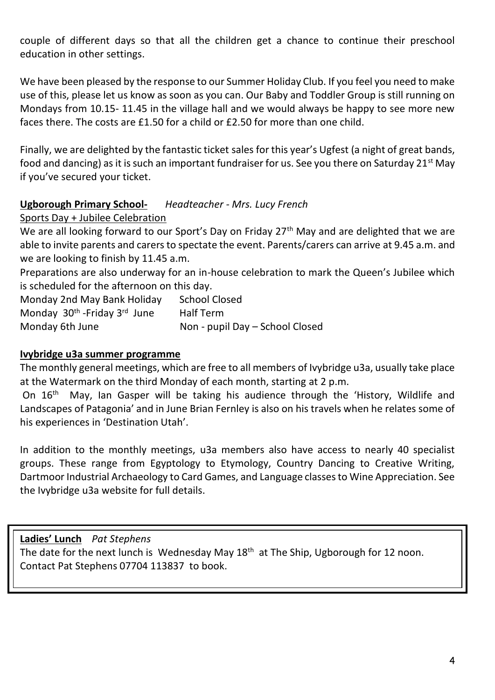couple of different days so that all the children get a chance to continue their preschool education in other settings.

We have been pleased by the response to our Summer Holiday Club. If you feel you need to make use of this, please let us know as soon as you can. Our Baby and Toddler Group is still running on Mondays from 10.15- 11.45 in the village hall and we would always be happy to see more new faces there. The costs are £1.50 for a child or £2.50 for more than one child.

Finally, we are delighted by the fantastic ticket sales for this year's Ugfest (a night of great bands, food and dancing) as it is such an important fundraiser for us. See you there on Saturday 21<sup>st</sup> May if you've secured your ticket.

#### **Ugborough Primary School-** *Headteacher - Mrs. Lucy French*

#### Sports Day + Jubilee Celebration

We are all looking forward to our Sport's Day on Friday  $27<sup>th</sup>$  May and are delighted that we are able to invite parents and carers to spectate the event. Parents/carers can arrive at 9.45 a.m. and we are looking to finish by 11.45 a.m.

Preparations are also underway for an in-house celebration to mark the Queen's Jubilee which is scheduled for the afternoon on this day.

Monday 2nd May Bank Holiday School Closed Monday 30<sup>th</sup> -Friday 3<sup>rd</sup> June Half Term Monday 6th June Non - pupil Day – School Closed

#### **Ivybridge u3a summer programme**

The monthly general meetings, which are free to all members of Ivybridge u3a, usually take place at the Watermark on the third Monday of each month, starting at 2 p.m.

On  $16<sup>th</sup>$  May, Ian Gasper will be taking his audience through the 'History, Wildlife and Landscapes of Patagonia' and in June Brian Fernley is also on his travels when he relates some of his experiences in 'Destination Utah'.

In addition to the monthly meetings, u3a members also have access to nearly 40 specialist groups. These range from Egyptology to Etymology, Country Dancing to Creative Writing, Dartmoor Industrial Archaeology to Card Games, and Language classes to Wine Appreciation. See the Ivybridge u3a website for full details.

#### **Ladies' Lunch** *Pat Stephens*

The date for the next lunch is Wednesday May 18<sup>th</sup> at The Ship, Ugborough for 12 noon. Contact Pat Stephens 07704 113837 to book.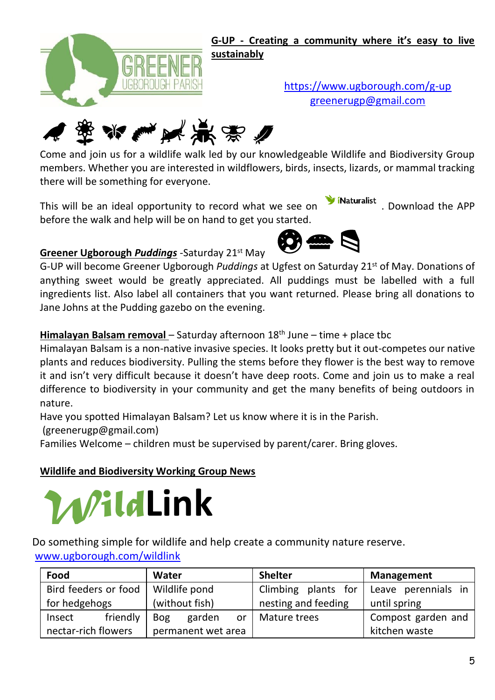

**G-UP - Creating a community where it's easy to live sustainably**

**Wildlife Example 20 a.m.** meeting and a support of the Sunday 8th May 10 a.m. meeting in a support of the Sunday 1 <https://www.ugborough.com/g-up>



Come and join us for a wildlife walk led by our knowledgeable Wildlife and Biodiversity Group members. Whether you are interested in wildflowers, birds, insects, lizards, or mammal tracking there will be something for everyone.

This will be an ideal opportunity to record what we see on **W**iNaturalist . Download the APP before the walk and help will be on hand to get you started.



## **Greener Ugborough** *Puddings* -Saturday 21st May

G-UP will become Greener Ugborough *Puddings* at Ugfest on Saturday 21st of May. Donations of anything sweet would be greatly appreciated. All puddings must be labelled with a full ingredients list. Also label all containers that you want returned. Please bring all donations to Jane Johns at the Pudding gazebo on the evening.

## **Himalayan Balsam removal** – Saturday afternoon 18<sup>th</sup> June – time + place tbc

Himalayan Balsam is a non-native invasive species. It looks pretty but it out-competes our native plants and reduces biodiversity. Pulling the stems before they flower is the best way to remove it and isn't very difficult because it doesn't have deep roots. Come and join us to make a real difference to biodiversity in your community and get the many benefits of being outdoors in nature.

Have you spotted Himalayan Balsam? Let us know where it is in the Parish.

(greenerugp@gmail.com)

Families Welcome – children must be supervised by parent/carer. Bring gloves.

## **Wildlife and Biodiversity Working Group News**



|                                 | WildLink<br>Io something simple for wildlife and help create a community nature reserve.<br>www.ugborough.com/wildlink |                            |                        |                     |  |  |
|---------------------------------|------------------------------------------------------------------------------------------------------------------------|----------------------------|------------------------|---------------------|--|--|
|                                 | Food                                                                                                                   | Water                      | <b>Shelter</b>         | <b>Management</b>   |  |  |
|                                 | Bird feeders or food                                                                                                   | Wildlife pond              | Climbing<br>plants for | Leave perennials in |  |  |
| (without fish)<br>for hedgehogs |                                                                                                                        | nesting and feeding        | until spring           |                     |  |  |
|                                 | friendly<br>Insect                                                                                                     | garden<br><b>Bog</b><br>or | Mature trees           | Compost garden and  |  |  |
|                                 | nectar-rich flowers                                                                                                    | permanent wet area         |                        | kitchen waste       |  |  |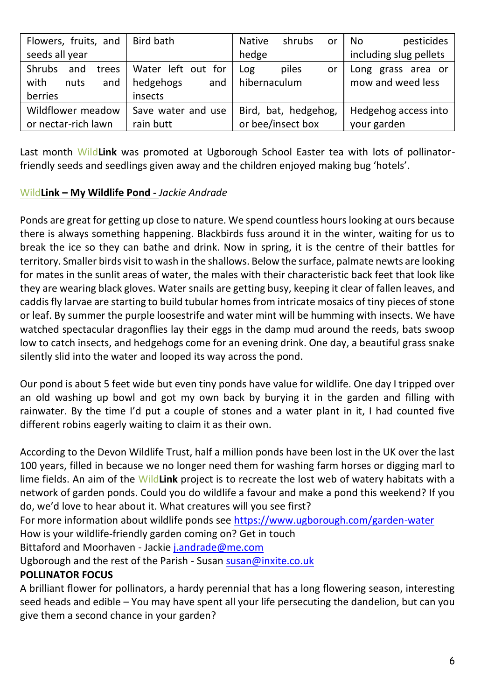| Flowers, fruits, and                                     | Bird bath                                         | <b>Native</b><br>shrubs<br>or      | pesticides<br>No                        |
|----------------------------------------------------------|---------------------------------------------------|------------------------------------|-----------------------------------------|
| seeds all year                                           |                                                   | hedge                              | including slug pellets                  |
| Shrubs<br>and<br>trees<br>with<br>nuts<br>and<br>berries | Water left out for<br>hedgehogs<br>and<br>insects | piles<br>Log<br>or<br>hibernaculum | Long grass area or<br>mow and weed less |
|                                                          |                                                   |                                    |                                         |
| Wildflower meadow<br>Save water and use                  |                                                   | Bird, bat, hedgehog,               | Hedgehog access into                    |
| or nectar-rich lawn<br>rain butt                         |                                                   | or bee/insect box                  | your garden                             |

Last month Wild**Link** was promoted at Ugborough School Easter tea with lots of pollinatorfriendly seeds and seedlings given away and the children enjoyed making bug 'hotels'.

#### Wild**Link – My Wildlife Pond -** *Jackie Andrade*

Ponds are great for getting up close to nature. We spend countless hours looking at ours because there is always something happening. Blackbirds fuss around it in the winter, waiting for us to break the ice so they can bathe and drink. Now in spring, it is the centre of their battles for territory. Smaller birds visit to wash in the shallows. Below the surface, palmate newts are looking for mates in the sunlit areas of water, the males with their characteristic back feet that look like they are wearing black gloves. Water snails are getting busy, keeping it clear of fallen leaves, and caddis fly larvae are starting to build tubular homes from intricate mosaics of tiny pieces of stone or leaf. By summer the purple loosestrife and water mint will be humming with insects. We have watched spectacular dragonflies lay their eggs in the damp mud around the reeds, bats swoop low to catch insects, and hedgehogs come for an evening drink. One day, a beautiful grass snake silently slid into the water and looped its way across the pond.

Our pond is about 5 feet wide but even tiny ponds have value for wildlife. One day I tripped over an old washing up bowl and got my own back by burying it in the garden and filling with rainwater. By the time I'd put a couple of stones and a water plant in it, I had counted five different robins eagerly waiting to claim it as their own.

According to the Devon Wildlife Trust, half a million ponds have been lost in the UK over the last 100 years, filled in because we no longer need them for washing farm horses or digging marl to lime fields. An aim of the Wild**Link** project is to recreate the lost web of watery habitats with a network of garden ponds. Could you do wildlife a favour and make a pond this weekend? If you do, we'd love to hear about it. What creatures will you see first?

For more information about wildlife ponds see<https://www.ugborough.com/garden-water> How is your wildlife-friendly garden coming on? Get in touch

Bittaford and Moorhaven - Jacki[e j.andrade@me.com](mailto:j.andrade@me.com)

Ugborough and the rest of the Parish - Susa[n susan@inxite.co.uk](mailto:susan@inxite.co.uk)

## **POLLINATOR FOCUS**

A brilliant flower for pollinators, a hardy perennial that has a long flowering season, interesting seed heads and edible – You may have spent all your life persecuting the dandelion, but can you give them a second chance in your garden?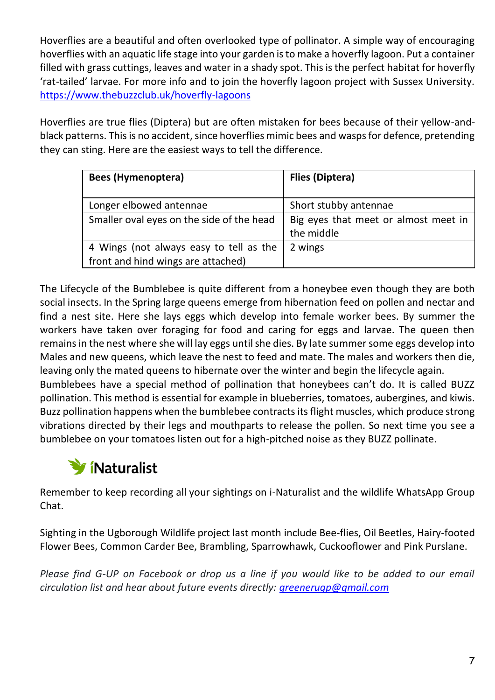Hoverflies are a beautiful and often overlooked type of pollinator. A simple way of encouraging hoverflies with an aquatic life stage into your garden is to make a hoverfly lagoon. Put a container filled with grass cuttings, leaves and water in a shady spot. This is the perfect habitat for hoverfly 'rat-tailed' larvae. For more info and to join the hoverfly lagoon project with Sussex University. <https://www.thebuzzclub.uk/hoverfly-lagoons>

Hoverflies are true flies (Diptera) but are often mistaken for bees because of their yellow-andblack patterns. This is no accident, since hoverflies mimic bees and wasps for defence, pretending they can sting. Here are the easiest ways to tell the difference.

| Bees (Hymenoptera)                                                            | Flies (Diptera)                                    |
|-------------------------------------------------------------------------------|----------------------------------------------------|
| Longer elbowed antennae                                                       | Short stubby antennae                              |
| Smaller oval eyes on the side of the head                                     | Big eyes that meet or almost meet in<br>the middle |
| 4 Wings (not always easy to tell as the<br>front and hind wings are attached) | 2 wings                                            |

The Lifecycle of the Bumblebee is quite different from a honeybee even though they are both social insects. In the Spring large queens emerge from hibernation feed on pollen and nectar and find a nest site. Here she lays eggs which develop into female worker bees. By summer the workers have taken over foraging for food and caring for eggs and larvae. The queen then remains in the nest where she will lay eggs until she dies. By late summer some eggs develop into Males and new queens, which leave the nest to feed and mate. The males and workers then die, leaving only the mated queens to hibernate over the winter and begin the lifecycle again.

Bumblebees have a special method of pollination that honeybees can't do. It is called BUZZ pollination. This method is essential for example in blueberries, tomatoes, aubergines, and kiwis. Buzz pollination happens when the bumblebee contracts its flight muscles, which produce strong vibrations directed by their legs and mouthparts to release the pollen. So next time you see a bumblebee on your tomatoes listen out for a high-pitched noise as they BUZZ pollinate.

# *Wi*Naturalist

Remember to keep recording all your sightings on i-Naturalist and the wildlife WhatsApp Group Chat.

Sighting in the Ugborough Wildlife project last month include Bee-flies, Oil Beetles, Hairy-footed Flower Bees, Common Carder Bee, Brambling, Sparrowhawk, Cuckooflower and Pink Purslane.

Please find G-UP on Facebook or drop us a line if you would like to be added to our email *circulation list and hear about future events directly[: greenerugp@gmail.com](mailto:greenerugp@gmail.com)*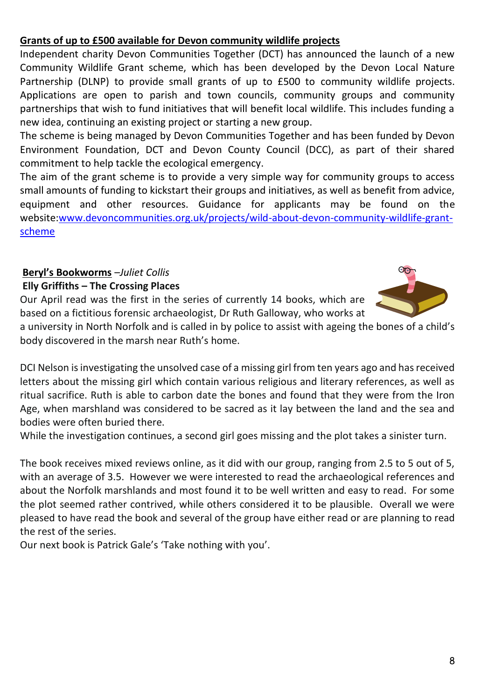## **Grants of up to £500 available for Devon community wildlife projects**

Independent charity Devon Communities Together (DCT) has announced the launch of a new Community Wildlife Grant scheme, which has been developed by the Devon Local Nature Partnership (DLNP) to provide small grants of up to £500 to community wildlife projects. Applications are open to parish and town councils, community groups and community partnerships that wish to fund initiatives that will benefit local wildlife. This includes funding a new idea, continuing an existing project or starting a new group.

The scheme is being managed by Devon Communities Together and has been funded by Devon Environment Foundation, DCT and Devon County Council (DCC), as part of their shared commitment to help tackle the ecological emergency.

The aim of the grant scheme is to provide a very simple way for community groups to access small amounts of funding to kickstart their groups and initiatives, as well as benefit from advice, equipment and other resources. Guidance for applicants may be found on the website[:www.devoncommunities.org.uk/projects/wild-about-devon-community-wildlife-grant](http://www.devoncommunities.org.uk/projects/wild-about-devon-community-wildlife-grant-scheme)[scheme](http://www.devoncommunities.org.uk/projects/wild-about-devon-community-wildlife-grant-scheme)

#### **Beryl's Bookworms** –*Juliet Collis* **Elly Griffiths – The Crossing Places**

Our April read was the first in the series of currently 14 books, which are based on a fictitious forensic archaeologist, Dr Ruth Galloway, who works at

a university in North Norfolk and is called in by police to assist with ageing the bones of a child's body discovered in the marsh near Ruth's home.

DCI Nelson is investigating the unsolved case of a missing girl from ten years ago and has received letters about the missing girl which contain various religious and literary references, as well as ritual sacrifice. Ruth is able to carbon date the bones and found that they were from the Iron Age, when marshland was considered to be sacred as it lay between the land and the sea and bodies were often buried there.

While the investigation continues, a second girl goes missing and the plot takes a sinister turn.

The book receives mixed reviews online, as it did with our group, ranging from 2.5 to 5 out of 5, with an average of 3.5. However we were interested to read the archaeological references and about the Norfolk marshlands and most found it to be well written and easy to read. For some the plot seemed rather contrived, while others considered it to be plausible. Overall we were pleased to have read the book and several of the group have either read or are planning to read the rest of the series.

Our next book is Patrick Gale's 'Take nothing with you'.

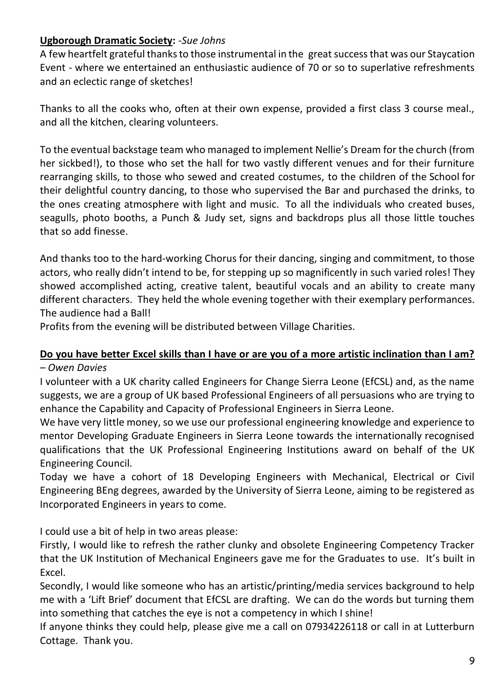#### **Ugborough Dramatic Society:** -*Sue Johns*

A few heartfelt grateful thanks to those instrumental in the great success that was our Staycation Event - where we entertained an enthusiastic audience of 70 or so to superlative refreshments and an eclectic range of sketches!

Thanks to all the cooks who, often at their own expense, provided a first class 3 course meal., and all the kitchen, clearing volunteers.

To the eventual backstage team who managed to implement Nellie's Dream for the church (from her sickbed!), to those who set the hall for two vastly different venues and for their furniture rearranging skills, to those who sewed and created costumes, to the children of the School for their delightful country dancing, to those who supervised the Bar and purchased the drinks, to the ones creating atmosphere with light and music. To all the individuals who created buses, seagulls, photo booths, a Punch & Judy set, signs and backdrops plus all those little touches that so add finesse.

And thanks too to the hard-working Chorus for their dancing, singing and commitment, to those actors, who really didn't intend to be, for stepping up so magnificently in such varied roles! They showed accomplished acting, creative talent, beautiful vocals and an ability to create many different characters. They held the whole evening together with their exemplary performances. The audience had a Ball!

Profits from the evening will be distributed between Village Charities.

## **Do you have better Excel skills than I have or are you of a more artistic inclination than I am?**

#### *– Owen Davies*

I volunteer with a UK charity called Engineers for Change Sierra Leone (EfCSL) and, as the name suggests, we are a group of UK based Professional Engineers of all persuasions who are trying to enhance the Capability and Capacity of Professional Engineers in Sierra Leone.

We have very little money, so we use our professional engineering knowledge and experience to mentor Developing Graduate Engineers in Sierra Leone towards the internationally recognised qualifications that the UK Professional Engineering Institutions award on behalf of the UK Engineering Council.

Today we have a cohort of 18 Developing Engineers with Mechanical, Electrical or Civil Engineering BEng degrees, awarded by the University of Sierra Leone, aiming to be registered as Incorporated Engineers in years to come.

I could use a bit of help in two areas please:

Firstly, I would like to refresh the rather clunky and obsolete Engineering Competency Tracker that the UK Institution of Mechanical Engineers gave me for the Graduates to use. It's built in Excel.

Secondly, I would like someone who has an artistic/printing/media services background to help me with a 'Lift Brief' document that EfCSL are drafting. We can do the words but turning them into something that catches the eye is not a competency in which I shine!

If anyone thinks they could help, please give me a call on 07934226118 or call in at Lutterburn Cottage. Thank you.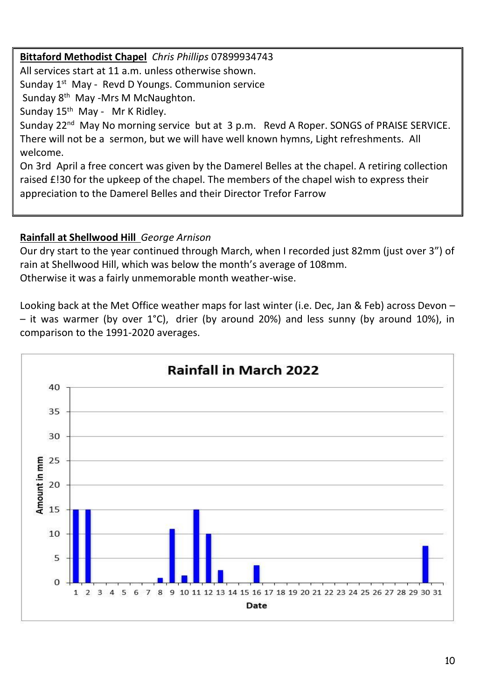**Bittaford Methodist Chapel** *Chris Phillips* 07899934743 All services start at 11 a.m. unless otherwise shown. Sunday 1<sup>st</sup> May - Revd D Youngs. Communion service Sunday 8 th May -Mrs M McNaughton. Sunday 15<sup>th</sup> May - Mr K Ridley. Sunday  $22^{nd}$  May No morning service but at 3 p.m. Revd A Roper. SONGS of PRAISE SERVICE. There will not be a sermon, but we will have well known hymns, Light refreshments. All welcome. On 3rd April a free concert was given by the Damerel Belles at the chapel. A retiring collection raised £!30 for the upkeep of the chapel. The members of the chapel wish to express their appreciation to the Damerel Belles and their Director Trefor Farrow

## **Rainfall at Shellwood Hill** *George Arnison*

Our dry start to the year continued through March, when I recorded just 82mm (just over 3") of rain at Shellwood Hill, which was below the month's average of 108mm. Otherwise it was a fairly unmemorable month weather-wise.

Looking back at the Met Office weather maps for last winter (i.e. Dec, Jan & Feb) across Devon – – it was warmer (by over 1°C), drier (by around 20%) and less sunny (by around 10%), in comparison to the 1991-2020 averages.

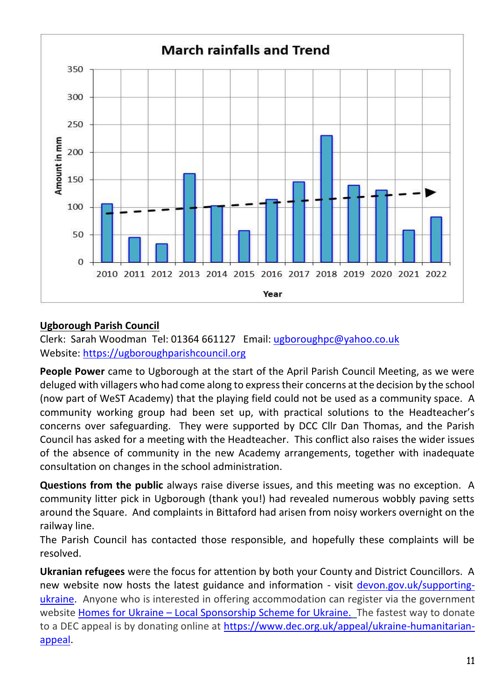

#### **Ugborough Parish Council**

Clerk: Sarah Woodman Tel: 01364 661127 Email: [ugboroughpc@yahoo.co.uk](file:///C:/Users/User/Documents/newsletter/ugboroughpc@yahoo.co.uk) Website[: https://ugboroughparishcouncil.org](https://ugboroughparishcouncil.org/)

**People Power** came to Ugborough at the start of the April Parish Council Meeting, as we were deluged with villagers who had come along to express their concerns at the decision by the school (now part of WeST Academy) that the playing field could not be used as a community space. A community working group had been set up, with practical solutions to the Headteacher's concerns over safeguarding. They were supported by DCC Cllr Dan Thomas, and the Parish Council has asked for a meeting with the Headteacher. This conflict also raises the wider issues of the absence of community in the new Academy arrangements, together with inadequate consultation on changes in the school administration.

**Questions from the public** always raise diverse issues, and this meeting was no exception. A community litter pick in Ugborough (thank you!) had revealed numerous wobbly paving setts around the Square. And complaints in Bittaford had arisen from noisy workers overnight on the railway line.

The Parish Council has contacted those responsible, and hopefully these complaints will be resolved.

**Ukranian refugees** were the focus for attention by both your County and District Councillors. A new website now hosts the latest guidance and information - visit [devon.gov.uk/supporting](file:///C:/Users/UgboroughPC/Documents/UPC/Newsletter%20&%20Press%20releases/2022/devon.gov.uk/supporting-ukraine)[ukraine.](file:///C:/Users/UgboroughPC/Documents/UPC/Newsletter%20&%20Press%20releases/2022/devon.gov.uk/supporting-ukraine) Anyone who is interested in offering accommodation can register via the government website Homes for Ukraine – [Local Sponsorship Scheme for Ukraine.](https://eur02.safelinks.protection.outlook.com/?url=https%3A%2F%2Fhomesforukraine.campaign.gov.uk%2F&data=04%7C01%7Cmairi.hamilton%40devon.gov.uk%7Cf49231e06099488363cf08da067b0c2e%7C8da13783cb68443fbb4b997f77fd5bfb%7C0%7C0%7C637829422793304132%7CUnknown%7CTWFpbGZsb3d8eyJWIjoiMC4wLjAwMDAiLCJQIjoiV2luMzIiLCJBTiI6Ik1haWwiLCJXVCI6Mn0%3D%7C3000&sdata=NWh0LjYun2ghZWX1wY6%2FfXFIIVvbFot9H2m%2BBWwhal4%3D&reserved=0) The fastest way to donate to a DEC appeal is by donating online at [https://www.dec.org.uk/appeal/ukraine-humanitarian](https://www.dec.org.uk/appeal/ukraine-humanitarian-appeal)[appeal.](https://www.dec.org.uk/appeal/ukraine-humanitarian-appeal)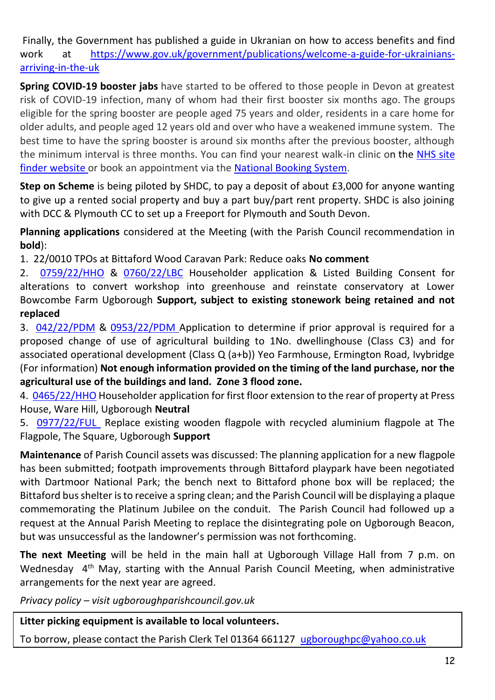Finally, the Government has published a guide in Ukranian on how to access benefits and find work at [https://www.gov.uk/government/publications/welcome-a-guide-for-ukrainians](https://www.gov.uk/government/publications/welcome-a-guide-for-ukrainians-arriving-in-the-uk)[arriving-in-the-uk](https://www.gov.uk/government/publications/welcome-a-guide-for-ukrainians-arriving-in-the-uk)

**Spring COVID-19 booster jabs** have started to be offered to those people in Devon at greatest risk of COVID-19 infection, many of whom had their first booster six months ago. The groups eligible for the spring booster are people aged 75 years and older, residents in a care home for older adults, and people aged 12 years old and over who have a weakened immune system. The best time to have the spring booster is around six months after the previous booster, although the minimum interval is three months. You can find your nearest walk-in clinic on the NHS site [finder website](https://digital.nhs.uk/services/nhs-service-finder) or book an appointment via the [National Booking System.](https://www.nhs.uk/conditions/coronavirus-covid-19/coronavirus-vaccination/book-coronavirus-vaccination/)

**Step on Scheme** is being piloted by SHDC, to pay a deposit of about £3,000 for anyone wanting to give up a rented social property and buy a part buy/part rent property. SHDC is also joining with DCC & Plymouth CC to set up a Freeport for Plymouth and South Devon.

**Planning applications** considered at the Meeting (with the Parish Council recommendation in **bold**):

1. 22/0010 TPOs at Bittaford Wood Caravan Park: Reduce oaks **No comment**

2. [0759/22/HHO](http://apps.southhams.gov.uk/PlanningSearchMVC/Home/Details/220759) & [0760/22/LBC](http://apps.southhams.gov.uk/PlanningSearchMVC/Home/Details/220760) Householder application & Listed Building Consent for alterations to convert workshop into greenhouse and reinstate conservatory at Lower Bowcombe Farm Ugborough **Support, subject to existing stonework being retained and not replaced**

3. [042/22/PDM](http://apps.southhams.gov.uk/PlanningSearchMVC/Home/Details/221042) & [0953/22/PDM](http://apps.southhams.gov.uk/PlanningSearchMVC/Home/Details/220953) Application to determine if prior approval is required for a proposed change of use of agricultural building to 1No. dwellinghouse (Class C3) and for associated operational development (Class Q (a+b)) Yeo Farmhouse, Ermington Road, Ivybridge (For information) **Not enough information provided on the timing of the land purchase, nor the agricultural use of the buildings and land. Zone 3 flood zone.**

4. [0465/22/HHO](http://apps.southhams.gov.uk/PlanningSearchMVC/Home/Details/220465) Householder application for first floor extension to the rear of property at Press House, Ware Hill, Ugborough **Neutral**

5. [0977/22/FUL](http://apps.southhams.gov.uk/PlanningSearchMVC/Home/Details/220977) Replace existing wooden flagpole with recycled aluminium flagpole at The Flagpole, The Square, Ugborough **Support**

**Maintenance** of Parish Council assets was discussed: The planning application for a new flagpole has been submitted; footpath improvements through Bittaford playpark have been negotiated with Dartmoor National Park; the bench next to Bittaford phone box will be replaced; the Bittaford bus shelter is to receive a spring clean; and the Parish Council will be displaying a plaque commemorating the Platinum Jubilee on the conduit. The Parish Council had followed up a request at the Annual Parish Meeting to replace the disintegrating pole on Ugborough Beacon, but was unsuccessful as the landowner's permission was not forthcoming.

**The next Meeting** will be held in the main hall at Ugborough Village Hall from 7 p.m. on Wednesday 4<sup>th</sup> May, starting with the Annual Parish Council Meeting, when administrative arrangements for the next year are agreed.

*Privacy policy – visit ugboroughparishcouncil.gov.uk*

**Litter picking equipment is available to local volunteers.** 

To borrow, please contact the Parish Clerk Tel 01364 661127 [ugboroughpc@yahoo.co.uk](mailto:ugboroughpc@yahoo.co.uk)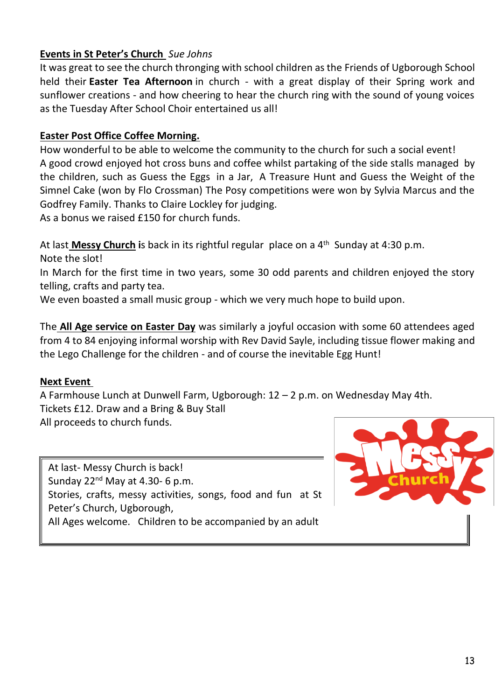## **Events in St Peter's Church** *Sue Johns*

It was great to see the church thronging with school children as the Friends of Ugborough School held their **Easter Tea Afternoon** in church - with a great display of their Spring work and sunflower creations - and how cheering to hear the church ring with the sound of young voices as the Tuesday After School Choir entertained us all!

#### **Easter Post Office Coffee Morning.**

How wonderful to be able to welcome the community to the church for such a social event! A good crowd enjoyed hot cross buns and coffee whilst partaking of the side stalls managed by the children, such as Guess the Eggs in a Jar, A Treasure Hunt and Guess the Weight of the Simnel Cake (won by Flo Crossman) The Posy competitions were won by Sylvia Marcus and the Godfrey Family. Thanks to Claire Lockley for judging.

As a bonus we raised £150 for church funds.

At last **Messy Church i**s back in its rightful regular place on a 4th Sunday at 4:30 p.m. Note the slot!

In March for the first time in two years, some 30 odd parents and children enjoyed the story telling, crafts and party tea.

We even boasted a small music group - which we very much hope to build upon.

The **All Age service on Easter Day** was similarly a joyful occasion with some 60 attendees aged from 4 to 84 enjoying informal worship with Rev David Sayle, including tissue flower making and the Lego Challenge for the children - and of course the inevitable Egg Hunt!

#### **Next Event**

A Farmhouse Lunch at Dunwell Farm, Ugborough: 12 – 2 p.m. on Wednesday May 4th. Tickets £12. Draw and a Bring & Buy Stall All proceeds to church funds.

At last- Messy Church is back! Sunday  $22^{nd}$  May at 4.30- 6 p.m. Stories, crafts, messy activities, songs, food and fun at St Peter's Church, Ugborough, All Ages welcome. Children to be accompanied by an adult

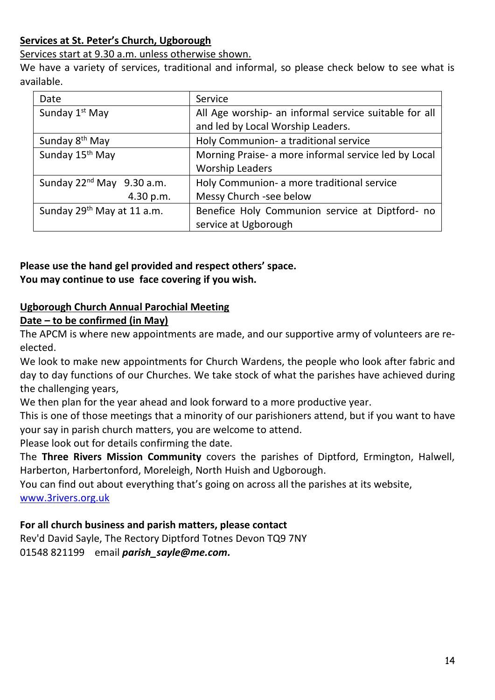#### **Services at St. Peter's Church, Ugborough**

Services start at 9.30 a.m. unless otherwise shown.

We have a variety of services, traditional and informal, so please check below to see what is available.

| Date                                   | Service                                               |
|----------------------------------------|-------------------------------------------------------|
| Sunday 1 <sup>st</sup> May             | All Age worship- an informal service suitable for all |
|                                        | and led by Local Worship Leaders.                     |
| Sunday 8 <sup>th</sup> May             | Holy Communion- a traditional service                 |
| Sunday 15th May                        | Morning Praise- a more informal service led by Local  |
|                                        | <b>Worship Leaders</b>                                |
| Sunday 22 <sup>nd</sup> May 9.30 a.m.  | Holy Communion- a more traditional service            |
| 4.30 p.m.                              | Messy Church -see below                               |
| Sunday 29 <sup>th</sup> May at 11 a.m. | Benefice Holy Communion service at Diptford- no       |
|                                        | service at Ugborough                                  |

## **Please use the hand gel provided and respect others' space. You may continue to use face covering if you wish.**

## **Ugborough Church Annual Parochial Meeting**

#### **Date – to be confirmed (in May)**

The APCM is where new appointments are made, and our supportive army of volunteers are reelected.

We look to make new appointments for Church Wardens, the people who look after fabric and day to day functions of our Churches. We take stock of what the parishes have achieved during the challenging years,

We then plan for the year ahead and look forward to a more productive year.

This is one of those meetings that a minority of our parishioners attend, but if you want to have your say in parish church matters, you are welcome to attend.

Please look out for details confirming the date.

The **Three Rivers Mission Community** covers the parishes of Diptford, Ermington, Halwell, Harberton, Harbertonford, Moreleigh, North Huish and Ugborough.

You can find out about everything that's going on across all the parishes at its website, [www.3rivers.org.uk](http://www.3rivers.org.uk/)

#### **For all church business and parish matters, please contact**

Rev'd David Sayle, The Rectory Diptford Totnes Devon TQ9 7NY 01548 821199 email *[parish\\_sayle@me.com.](mailto:parish_sayle@me.com)*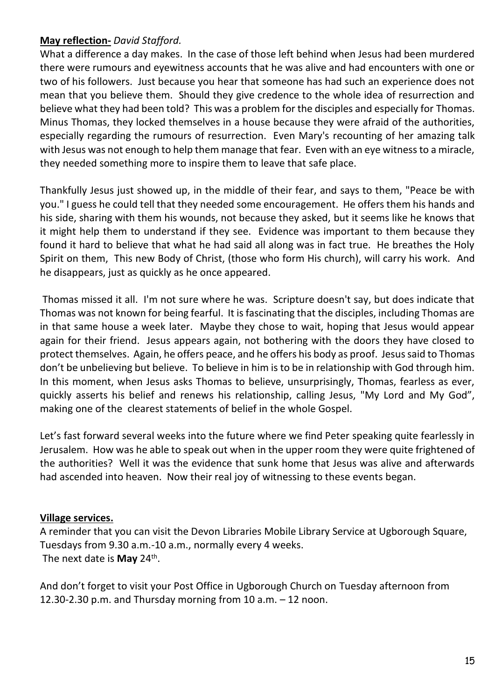### **May reflection-** *David Stafford.*

What a difference a day makes. In the case of those left behind when Jesus had been murdered there were rumours and eyewitness accounts that he was alive and had encounters with one or two of his followers. Just because you hear that someone has had such an experience does not mean that you believe them. Should they give credence to the whole idea of resurrection and believe what they had been told? This was a problem for the disciples and especially for Thomas. Minus Thomas, they locked themselves in a house because they were afraid of the authorities, especially regarding the rumours of resurrection. Even Mary's recounting of her amazing talk with Jesus was not enough to help them manage that fear. Even with an eye witness to a miracle, they needed something more to inspire them to leave that safe place.

Thankfully Jesus just showed up, in the middle of their fear, and says to them, "Peace be with you." I guess he could tell that they needed some encouragement. He offers them his hands and his side, sharing with them his wounds, not because they asked, but it seems like he knows that it might help them to understand if they see. Evidence was important to them because they found it hard to believe that what he had said all along was in fact true. He breathes the Holy Spirit on them, This new Body of Christ, (those who form His church), will carry his work. And he disappears, just as quickly as he once appeared.

Thomas missed it all. I'm not sure where he was. Scripture doesn't say, but does indicate that Thomas was not known for being fearful. It is fascinating that the disciples, including Thomas are in that same house a week later. Maybe they chose to wait, hoping that Jesus would appear again for their friend. Jesus appears again, not bothering with the doors they have closed to protect themselves. Again, he offers peace, and he offers his body as proof. Jesus said to Thomas don't be unbelieving but believe. To believe in him is to be in relationship with God through him. In this moment, when Jesus asks Thomas to believe, unsurprisingly, Thomas, fearless as ever, quickly asserts his belief and renews his relationship, calling Jesus, "My Lord and My God", making one of the clearest statements of belief in the whole Gospel.

Let's fast forward several weeks into the future where we find Peter speaking quite fearlessly in Jerusalem. How was he able to speak out when in the upper room they were quite frightened of the authorities? Well it was the evidence that sunk home that Jesus was alive and afterwards had ascended into heaven. Now their real joy of witnessing to these events began.

#### **Village services.**

A reminder that you can visit the Devon Libraries Mobile Library Service at Ugborough Square, Tuesdays from 9.30 a.m.-10 a.m., normally every 4 weeks. The next date is **May** 24<sup>th</sup>.

And don't forget to visit your Post Office in Ugborough Church on Tuesday afternoon from 12.30-2.30 p.m. and Thursday morning from 10 a.m. – 12 noon.